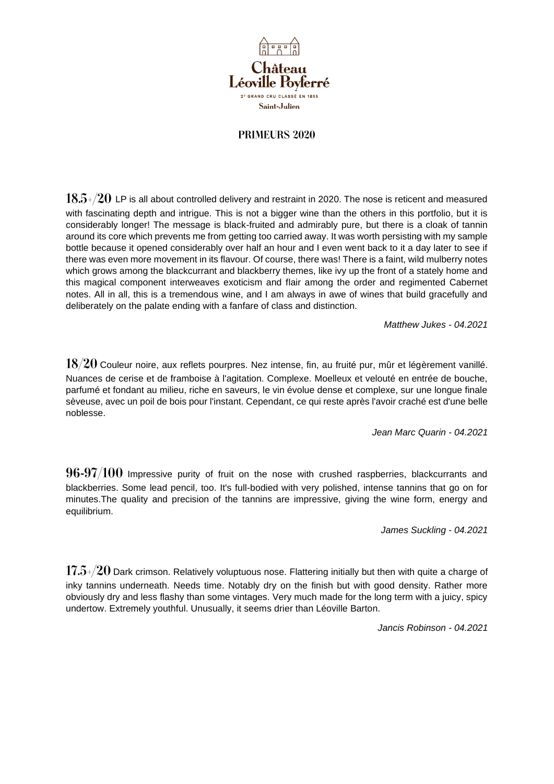

## PRIMEURS 2020

 $18.5+/20$  LP is all about controlled delivery and restraint in 2020. The nose is reticent and measured with fascinating depth and intrigue. This is not a bigger wine than the others in this portfolio, but it is considerably longer! The message is black-fruited and admirably pure, but there is a cloak of tannin around its core which prevents me from getting too carried away. It was worth persisting with my sample bottle because it opened considerably over half an hour and I even went back to it a day later to see if there was even more movement in its flavour. Of course, there was! There is a faint, wild mulberry notes which grows among the blackcurrant and blackberry themes, like ivy up the front of a stately home and this magical component interweaves exoticism and flair among the order and regimented Cabernet notes. All in all, this is a tremendous wine, and I am always in awe of wines that build gracefully and deliberately on the palate ending with a fanfare of class and distinction.

*Matthew Jukes - 04.2021*

 $18/20$  Couleur noire, aux reflets pourpres. Nez intense, fin, au fruité pur, mûr et légèrement vanillé. Nuances de cerise et de framboise à l'agitation. Complexe. Moelleux et velouté en entrée de bouche, parfumé et fondant au milieu, riche en saveurs, le vin évolue dense et complexe, sur une longue finale sèveuse, avec un poil de bois pour l'instant. Cependant, ce qui reste après l'avoir craché est d'une belle noblesse.

*Jean Marc Quarin - 04.2021*

 $96-97/100$  Impressive purity of fruit on the nose with crushed raspberries, blackcurrants and blackberries. Some lead pencil, too. It's full-bodied with very polished, intense tannins that go on for minutes.The quality and precision of the tannins are impressive, giving the wine form, energy and equilibrium.

*James Suckling - 04.2021*

 $17.5+/20$  Dark crimson. Relatively voluptuous nose. Flattering initially but then with quite a charge of inky tannins underneath. Needs time. Notably dry on the finish but with good density. Rather more obviously dry and less flashy than some vintages. Very much made for the long term with a juicy, spicy undertow. Extremely youthful. Unusually, it seems drier than Léoville Barton.

*Jancis Robinson - 04.2021*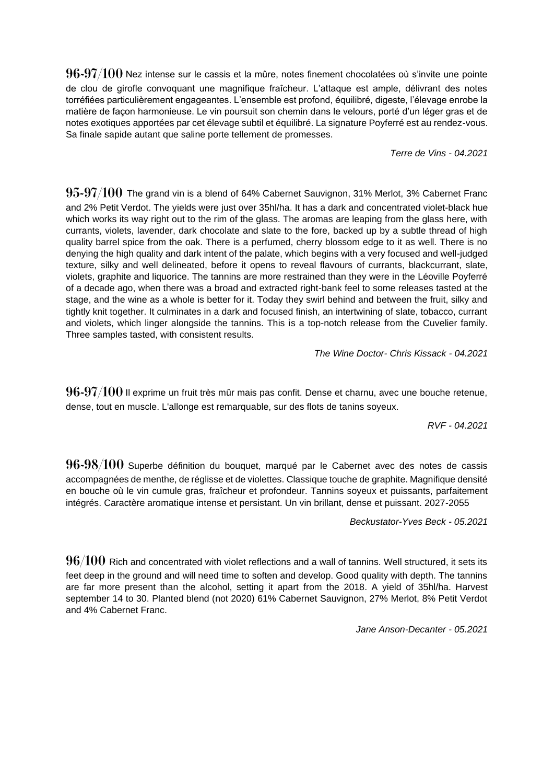$96-97/100$  Nez intense sur le cassis et la mûre, notes finement chocolatées où s'invite une pointe de clou de girofle convoquant une magnifique fraîcheur. L'attaque est ample, délivrant des notes torréfiées particulièrement engageantes. L'ensemble est profond, équilibré, digeste, l'élevage enrobe la matière de façon harmonieuse. Le vin poursuit son chemin dans le velours, porté d'un léger gras et de notes exotiques apportées par cet élevage subtil et équilibré. La signature Poyferré est au rendez-vous. Sa finale sapide autant que saline porte tellement de promesses.

*Terre de Vins - 04.2021*

 $95-97/100$  The grand vin is a blend of 64% Cabernet Sauvignon, 31% Merlot, 3% Cabernet Franc and 2% Petit Verdot. The yields were just over 35hl/ha. It has a dark and concentrated violet-black hue which works its way right out to the rim of the glass. The aromas are leaping from the glass here, with currants, violets, lavender, dark chocolate and slate to the fore, backed up by a subtle thread of high quality barrel spice from the oak. There is a perfumed, cherry blossom edge to it as well. There is no denying the high quality and dark intent of the palate, which begins with a very focused and well-judged texture, silky and well delineated, before it opens to reveal flavours of currants, blackcurrant, slate, violets, graphite and liquorice. The tannins are more restrained than they were in the Léoville Poyferré of a decade ago, when there was a broad and extracted right-bank feel to some releases tasted at the stage, and the wine as a whole is better for it. Today they swirl behind and between the fruit, silky and tightly knit together. It culminates in a dark and focused finish, an intertwining of slate, tobacco, currant and violets, which linger alongside the tannins. This is a top-notch release from the Cuvelier family. Three samples tasted, with consistent results.

*The Wine Doctor- Chris Kissack - 04.2021*

 $96-97/100$  Il exprime un fruit très mûr mais pas confit. Dense et charnu, avec une bouche retenue, dense, tout en muscle. L'allonge est remarquable, sur des flots de tanins soyeux.

*RVF - 04.2021*

 $96-98/100$  Superbe définition du bouquet, marqué par le Cabernet avec des notes de cassis accompagnées de menthe, de réglisse et de violettes. Classique touche de graphite. Magnifique densité en bouche où le vin cumule gras, fraîcheur et profondeur. Tannins soyeux et puissants, parfaitement intégrés. Caractère aromatique intense et persistant. Un vin brillant, dense et puissant. 2027-2055

*Beckustator-Yves Beck - 05.2021*

 $96/100$  Rich and concentrated with violet reflections and a wall of tannins. Well structured, it sets its feet deep in the ground and will need time to soften and develop. Good quality with depth. The tannins are far more present than the alcohol, setting it apart from the 2018. A yield of 35hl/ha. Harvest september 14 to 30. Planted blend (not 2020) 61% Cabernet Sauvignon, 27% Merlot, 8% Petit Verdot and 4% Cabernet Franc.

*Jane Anson-Decanter - 05.2021*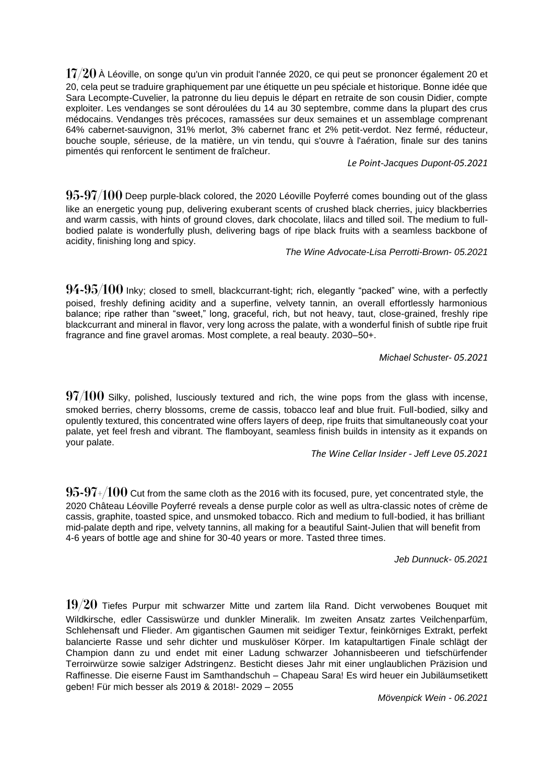$17/20$  À Léoville, on songe qu'un vin produit l'année 2020, ce qui peut se prononcer également 20 et 20, cela peut se traduire graphiquement par une étiquette un peu spéciale et historique. Bonne idée que Sara Lecompte-Cuvelier, la patronne du lieu depuis le départ en retraite de son cousin Didier, compte exploiter. Les vendanges se sont déroulées du 14 au 30 septembre, comme dans la plupart des crus médocains. Vendanges très précoces, ramassées sur deux semaines et un assemblage comprenant 64% cabernet-sauvignon, 31% merlot, 3% cabernet franc et 2% petit-verdot. Nez fermé, réducteur, bouche souple, sérieuse, de la matière, un vin tendu, qui s'ouvre à l'aération, finale sur des tanins pimentés qui renforcent le sentiment de fraîcheur.

*Le Point-Jacques Dupont-05.2021*

 $95-97/100$  Deep purple-black colored, the 2020 Léoville Poyferré comes bounding out of the glass like an energetic young pup, delivering exuberant scents of crushed black cherries, juicy blackberries and warm cassis, with hints of ground cloves, dark chocolate, lilacs and tilled soil. The medium to fullbodied palate is wonderfully plush, delivering bags of ripe black fruits with a seamless backbone of acidity, finishing long and spicy.

*The Wine Advocate-Lisa Perrotti-Brown- 05.2021*

 $94 - 95/100$  lnky; closed to smell, blackcurrant-tight; rich, elegantly "packed" wine, with a perfectly poised, freshly defining acidity and a superfine, velvety tannin, an overall effortlessly harmonious balance; ripe rather than "sweet," long, graceful, rich, but not heavy, taut, close-grained, freshly ripe blackcurrant and mineral in flavor, very long across the palate, with a wonderful finish of subtle ripe fruit fragrance and fine gravel aromas. Most complete, a real beauty. 2030–50+.

*Michael Schuster- 05.2021*

 $97/100$  Silky, polished, lusciously textured and rich, the wine pops from the glass with incense, smoked berries, cherry blossoms, creme de cassis, tobacco leaf and blue fruit. Full-bodied, silky and opulently textured, this concentrated wine offers layers of deep, ripe fruits that simultaneously coat your palate, yet feel fresh and vibrant. The flamboyant, seamless finish builds in intensity as it expands on your palate.

*The Wine Cellar Insider - Jeff Leve 05.2021*

 $95-97+/100$  Cut from the same cloth as the 2016 with its focused, pure, yet concentrated style, the 2020 Château Léoville Poyferré reveals a dense purple color as well as ultra-classic notes of crème de cassis, graphite, toasted spice, and unsmoked tobacco. Rich and medium to full-bodied, it has brilliant mid-palate depth and ripe, velvety tannins, all making for a beautiful Saint-Julien that will benefit from 4-6 years of bottle age and shine for 30-40 years or more. Tasted three times.

*Jeb Dunnuck- 05.2021*

 $19/20$  Tiefes Purpur mit schwarzer Mitte und zartem lila Rand. Dicht verwobenes Bouquet mit Wildkirsche, edler Cassiswürze und dunkler Mineralik. Im zweiten Ansatz zartes Veilchenparfüm, Schlehensaft und Flieder. Am gigantischen Gaumen mit seidiger Textur, feinkörniges Extrakt, perfekt balancierte Rasse und sehr dichter und muskulöser Körper. Im katapultartigen Finale schlägt der Champion dann zu und endet mit einer Ladung schwarzer Johannisbeeren und tiefschürfender Terroirwürze sowie salziger Adstringenz. Besticht dieses Jahr mit einer unglaublichen Präzision und Raffinesse. Die eiserne Faust im Samthandschuh – Chapeau Sara! Es wird heuer ein Jubiläumsetikett geben! Für mich besser als 2019 & 2018!- 2029 – 2055

*Mövenpick Wein - 06.2021*